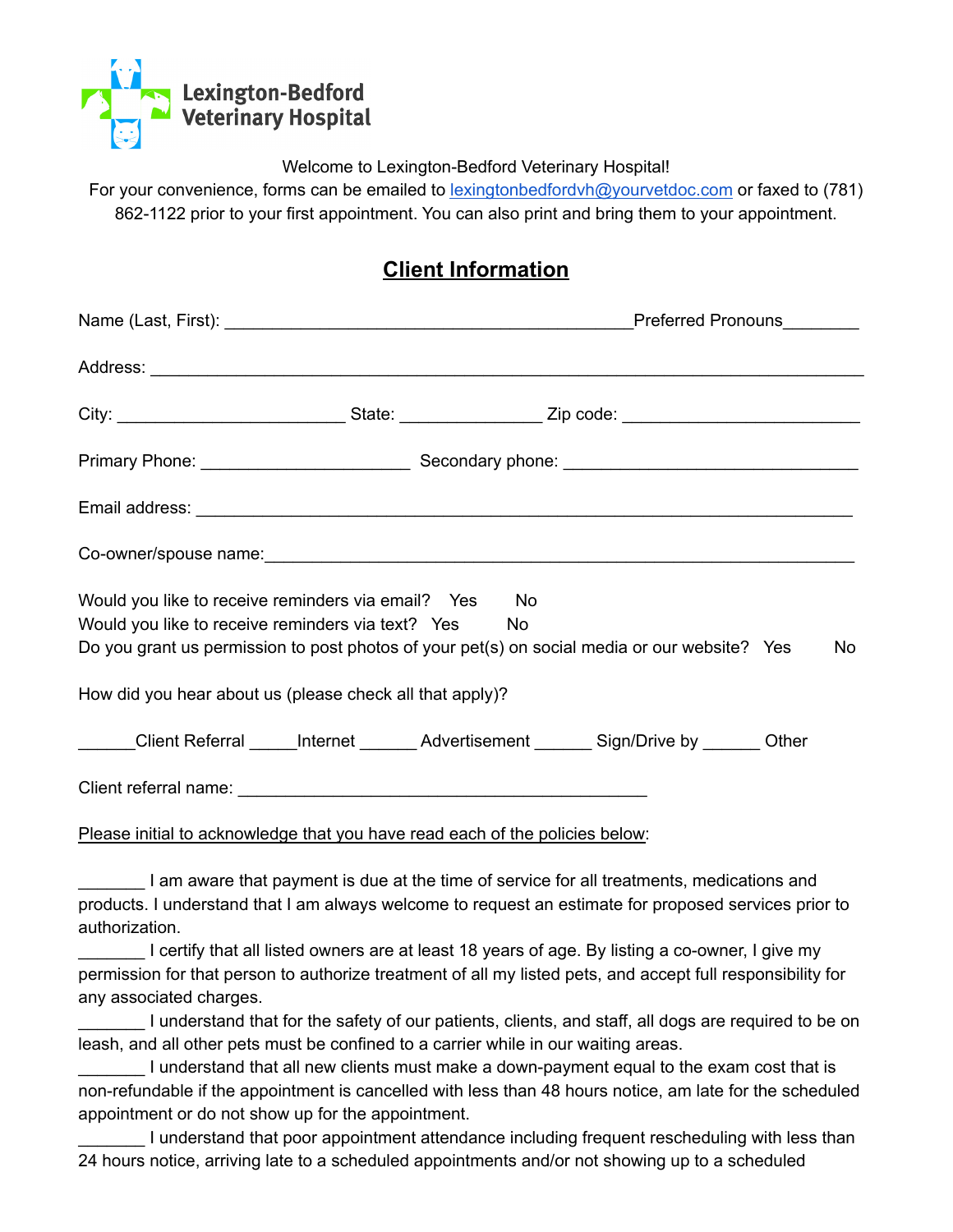

Welcome to Lexington-Bedford Veterinary Hospital!

For your convenience, forms can be emailed to [lexingtonbedfordvh@yourvetdoc.com](mailto:lexingtonbedfordvh@yourvetdoc.com) or faxed to (781) 862-1122 prior to your first appointment. You can also print and bring them to your appointment.

## **Client Information**

|                                                                                                               |  |  | City: ___________________________________State: ______________________Zip code: ______________________________ |    |  |
|---------------------------------------------------------------------------------------------------------------|--|--|----------------------------------------------------------------------------------------------------------------|----|--|
|                                                                                                               |  |  |                                                                                                                |    |  |
|                                                                                                               |  |  |                                                                                                                |    |  |
|                                                                                                               |  |  |                                                                                                                |    |  |
| Would you like to receive reminders via email? Yes No<br>Would you like to receive reminders via text? Yes No |  |  | Do you grant us permission to post photos of your pet(s) on social media or our website? Yes                   | No |  |
| How did you hear about us (please check all that apply)?                                                      |  |  |                                                                                                                |    |  |
|                                                                                                               |  |  | ______Client Referral _____Internet _______ Advertisement _______ Sign/Drive by _______ Other                  |    |  |
|                                                                                                               |  |  |                                                                                                                |    |  |
| Please initial to acknowledge that you have read each of the policies below:                                  |  |  |                                                                                                                |    |  |

\_\_\_\_\_\_\_ I am aware that payment is due at the time of service for all treatments, medications and products. I understand that I am always welcome to request an estimate for proposed services prior to authorization.

\_\_\_\_\_\_\_ I certify that all listed owners are at least 18 years of age. By listing a co-owner, I give my permission for that person to authorize treatment of all my listed pets, and accept full responsibility for any associated charges.

\_\_\_\_\_\_\_ I understand that for the safety of our patients, clients, and staff, all dogs are required to be on leash, and all other pets must be confined to a carrier while in our waiting areas.

\_\_\_\_\_\_\_ I understand that all new clients must make a down-payment equal to the exam cost that is non-refundable if the appointment is cancelled with less than 48 hours notice, am late for the scheduled appointment or do not show up for the appointment.

I understand that poor appointment attendance including frequent rescheduling with less than 24 hours notice, arriving late to a scheduled appointments and/or not showing up to a scheduled